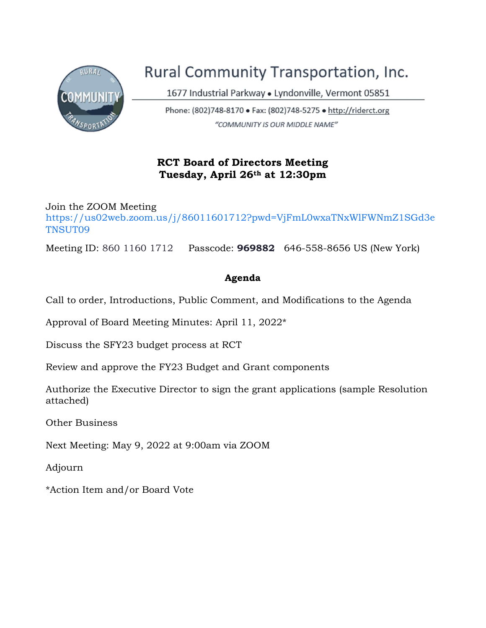

# Rural Community Transportation, Inc.

1677 Industrial Parkway . Lyndonville, Vermont 05851

Phone: (802)748-8170 · Fax: (802)748-5275 · http://riderct.org "COMMUNITY IS OUR MIDDLE NAME"

## RCT Board of Directors Meeting Tuesday, April 26th at 12:30pm

Join the ZOOM Meeting https://us02web.zoom.us/j/86011601712?pwd=VjFmL0wxaTNxWlFWNmZ1SGd3e TNSUT09

Meeting ID: 860 1160 1712 Passcode: **969882** 646-558-8656 US (New York)

#### Agenda

Call to order, Introductions, Public Comment, and Modifications to the Agenda

Approval of Board Meeting Minutes: April 11, 2022\*

Discuss the SFY23 budget process at RCT

Review and approve the FY23 Budget and Grant components

Authorize the Executive Director to sign the grant applications (sample Resolution attached)

Other Business

Next Meeting: May 9, 2022 at 9:00am via ZOOM

Adjourn

\*Action Item and/or Board Vote